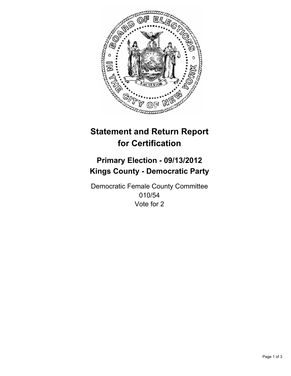

# **Statement and Return Report for Certification**

## **Primary Election - 09/13/2012 Kings County - Democratic Party**

Democratic Female County Committee 010/54 Vote for 2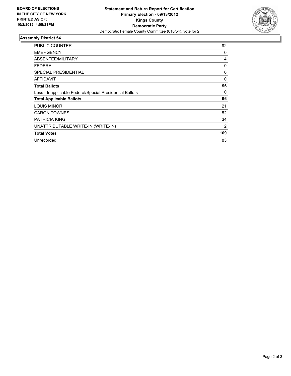

### **Assembly District 54**

| <b>PUBLIC COUNTER</b>                                    | 92  |
|----------------------------------------------------------|-----|
| <b>EMERGENCY</b>                                         | 0   |
| ABSENTEE/MILITARY                                        | 4   |
| <b>FEDERAL</b>                                           | 0   |
| <b>SPECIAL PRESIDENTIAL</b>                              | 0   |
| <b>AFFIDAVIT</b>                                         | 0   |
| <b>Total Ballots</b>                                     | 96  |
| Less - Inapplicable Federal/Special Presidential Ballots | 0   |
| <b>Total Applicable Ballots</b>                          | 96  |
| <b>LOUIS MINOR</b>                                       | 21  |
| <b>CARON TOWNES</b>                                      | 52  |
| <b>PATRICIA KING</b>                                     | 34  |
| UNATTRIBUTABLE WRITE-IN (WRITE-IN)                       | 2   |
| <b>Total Votes</b>                                       | 109 |
| Unrecorded                                               | 83  |